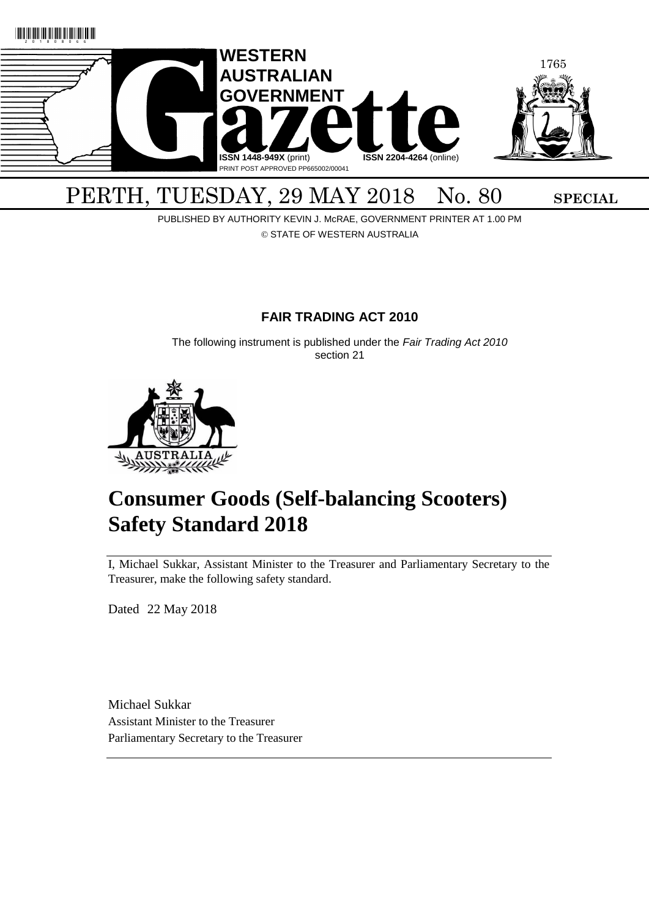

# PERTH, TUESDAY, 29 MAY 2018 No. 80 SPECIAL

PUBLISHED BY AUTHORITY KEVIN J. McRAE, GOVERNMENT PRINTER AT 1.00 PM © STATE OF WESTERN AUSTRALIA

## **FAIR TRADING ACT 2010**

The following instrument is published under the *Fair Trading Act 2010* section 21



# **Consumer Goods (Self-balancing Scooters) Safety Standard 2018**

I, Michael Sukkar, Assistant Minister to the Treasurer and Parliamentary Secretary to the Treasurer, make the following safety standard.

Dated 22 May 2018

Michael Sukkar Assistant Minister to the Treasurer Parliamentary Secretary to the Treasurer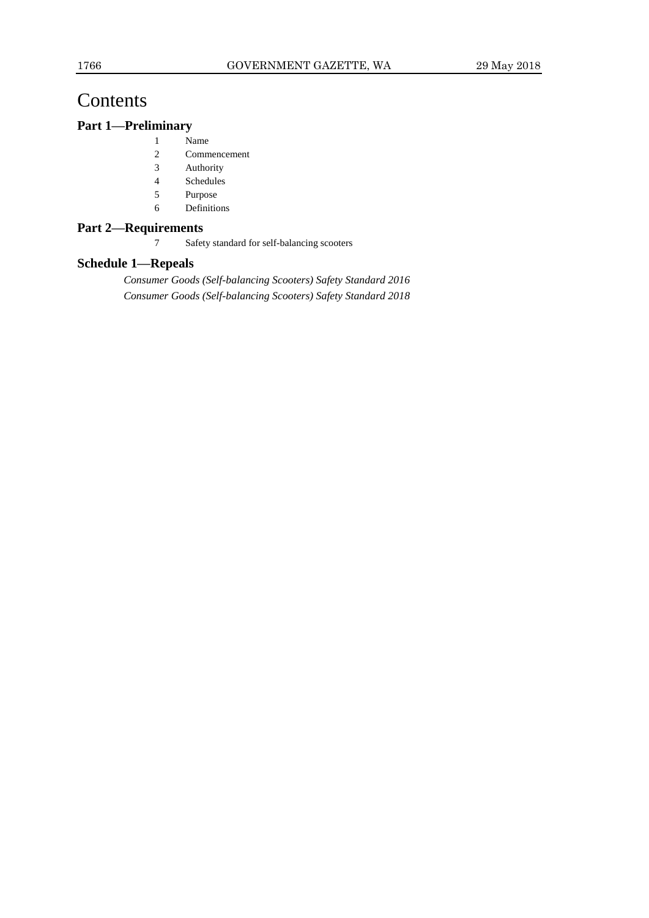## Contents

### **Part 1—Preliminary**

- 1 Name
- 2 Commencement
- 3 Authority
- 4 Schedules
- 5 Purpose
- 6 Definitions

#### **Part 2—Requirements**

7 Safety standard for self-balancing scooters

#### **Schedule 1—Repeals**

*Consumer Goods (Self-balancing Scooters) Safety Standard 2016 Consumer Goods (Self-balancing Scooters) Safety Standard 2018*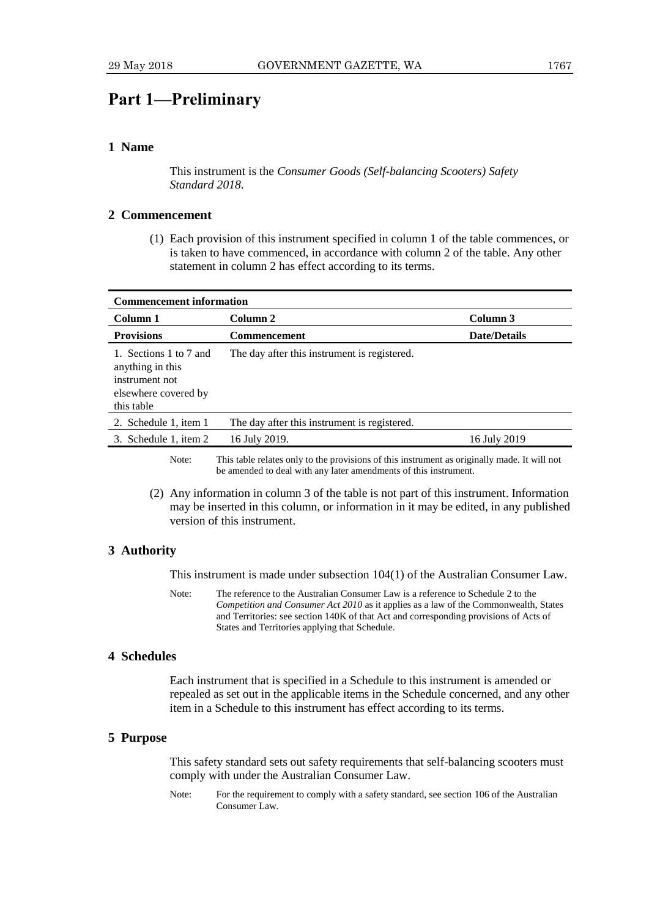## **Part 1—Preliminary**

#### **1 Name**

This instrument is the *Consumer Goods (Self-balancing Scooters) Safety Standard 2018*.

#### **2 Commencement**

(1) Each provision of this instrument specified in column 1 of the table commences, or is taken to have commenced, in accordance with column 2 of the table. Any other statement in column 2 has effect according to its terms.

| <b>Commencement information</b>                                                                    |                                              |                     |
|----------------------------------------------------------------------------------------------------|----------------------------------------------|---------------------|
| Column 1                                                                                           | Column 2                                     | Column 3            |
| <b>Provisions</b>                                                                                  | <b>Commencement</b>                          | <b>Date/Details</b> |
| 1. Sections 1 to 7 and<br>anything in this<br>instrument not<br>elsewhere covered by<br>this table | The day after this instrument is registered. |                     |
| 2. Schedule 1, item 1                                                                              | The day after this instrument is registered. |                     |
| 3. Schedule 1, item 2                                                                              | 16 July 2019.                                | 16 July 2019        |
|                                                                                                    | $\cdots$ $\cdots$ $\cdots$                   |                     |

Note: This table relates only to the provisions of this instrument as originally made. It will not be amended to deal with any later amendments of this instrument.

(2) Any information in column 3 of the table is not part of this instrument. Information may be inserted in this column, or information in it may be edited, in any published version of this instrument.

#### **3 Authority**

This instrument is made under subsection 104(1) of the Australian Consumer Law.

Note: The reference to the Australian Consumer Law is a reference to Schedule 2 to the *Competition and Consumer Act 2010* as it applies as a law of the Commonwealth, States and Territories: see section 140K of that Act and corresponding provisions of Acts of States and Territories applying that Schedule.

#### **4 Schedules**

Each instrument that is specified in a Schedule to this instrument is amended or repealed as set out in the applicable items in the Schedule concerned, and any other item in a Schedule to this instrument has effect according to its terms.

#### **5 Purpose**

This safety standard sets out safety requirements that self-balancing scooters must comply with under the Australian Consumer Law.

Note: For the requirement to comply with a safety standard, see section 106 of the Australian Consumer Law.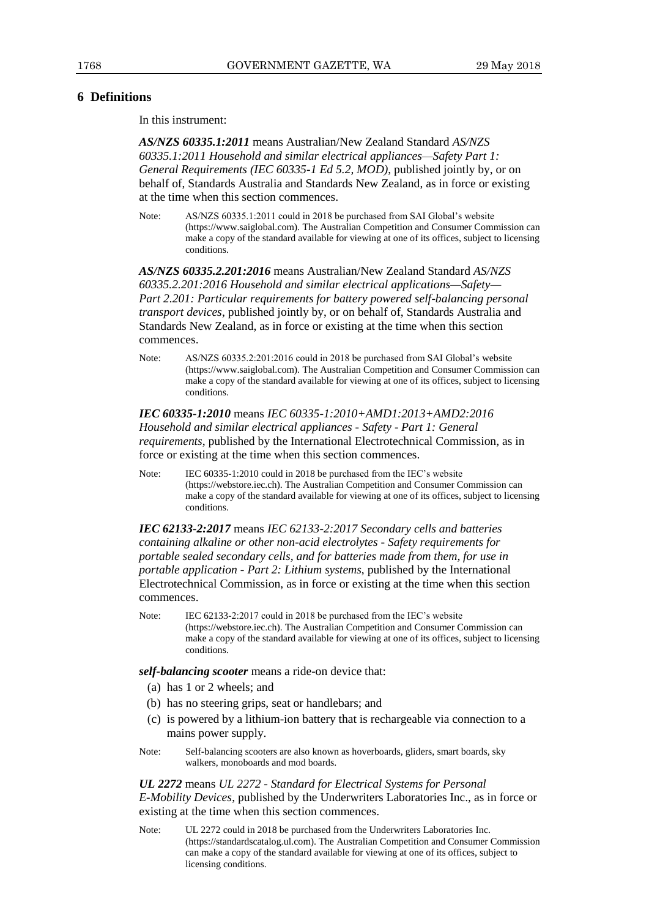#### **6 Definitions**

In this instrument:

*AS/NZS 60335.1:2011* means Australian/New Zealand Standard *AS/NZS 60335.1:2011 Household and similar electrical appliances—Safety Part 1: General Requirements (IEC 60335-1 Ed 5.2, MOD)*, published jointly by, or on behalf of, Standards Australia and Standards New Zealand, as in force or existing at the time when this section commences.

Note: AS/NZS 60335.1:2011 could in 2018 be purchased from SAI Global's website (https://www.saiglobal.com). The Australian Competition and Consumer Commission can make a copy of the standard available for viewing at one of its offices, subject to licensing conditions.

*AS/NZS 60335.2.201:2016* means Australian/New Zealand Standard *AS/NZS 60335.2.201:2016 Household and similar electrical applications—Safety— Part 2.201: Particular requirements for battery powered self-balancing personal transport devices*, published jointly by, or on behalf of, Standards Australia and Standards New Zealand, as in force or existing at the time when this section commences.

Note: AS/NZS 60335.2:201:2016 could in 2018 be purchased from SAI Global's website (https://www.saiglobal.com). The Australian Competition and Consumer Commission can make a copy of the standard available for viewing at one of its offices, subject to licensing conditions.

#### *IEC 60335-1:2010* means *IEC 60335-1:2010+AMD1:2013+AMD2:2016 Household and similar electrical appliances - Safety - Part 1: General requirements*, published by the International Electrotechnical Commission, as in force or existing at the time when this section commences.

Note: IEC 60335-1:2010 could in 2018 be purchased from the IEC's website (https://webstore.iec.ch). The Australian Competition and Consumer Commission can make a copy of the standard available for viewing at one of its offices, subject to licensing conditions.

*IEC 62133-2:2017* means *IEC 62133-2:2017 Secondary cells and batteries containing alkaline or other non-acid electrolytes - Safety requirements for portable sealed secondary cells, and for batteries made from them, for use in portable application - Part 2: Lithium systems*, published by the International Electrotechnical Commission, as in force or existing at the time when this section commences.

Note: IEC 62133-2:2017 could in 2018 be purchased from the IEC's website (https://webstore.iec.ch). The Australian Competition and Consumer Commission can make a copy of the standard available for viewing at one of its offices, subject to licensing conditions.

*self-balancing scooter* means a ride-on device that:

- (a) has 1 or 2 wheels; and
- (b) has no steering grips, seat or handlebars; and
- (c) is powered by a lithium-ion battery that is rechargeable via connection to a mains power supply.
- Note: Self-balancing scooters are also known as hoverboards, gliders, smart boards, sky walkers, monoboards and mod boards.

*UL 2272* means *UL 2272 - Standard for Electrical Systems for Personal E-Mobility Devices*, published by the Underwriters Laboratories Inc., as in force or existing at the time when this section commences.

Note: UL 2272 could in 2018 be purchased from the Underwriters Laboratories Inc. (https://standardscatalog.ul.com). The Australian Competition and Consumer Commission can make a copy of the standard available for viewing at one of its offices, subject to licensing conditions.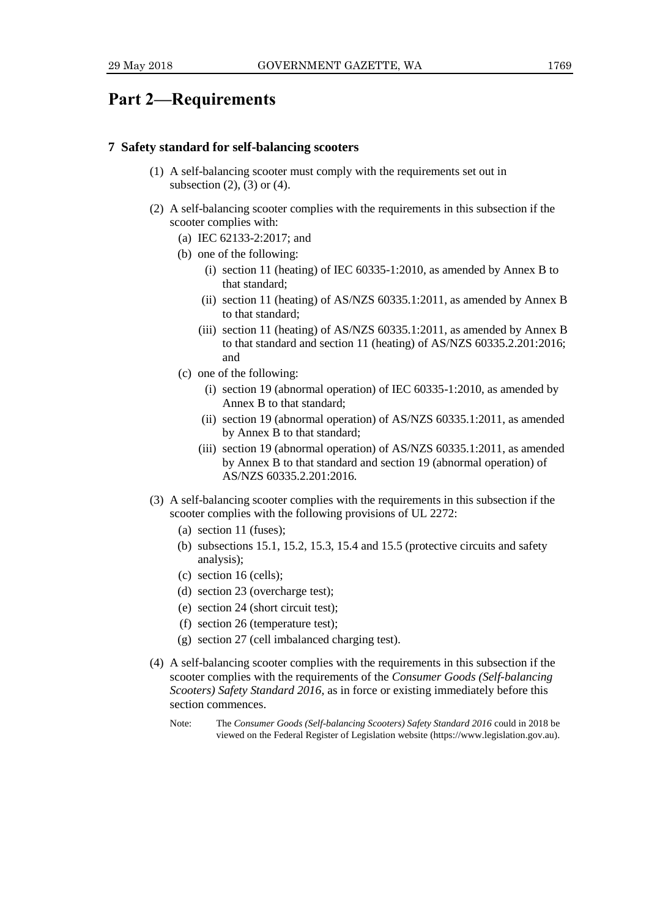## **Part 2—Requirements**

#### **7 Safety standard for self-balancing scooters**

- (1) A self-balancing scooter must comply with the requirements set out in subsection  $(2)$ ,  $(3)$  or  $(4)$ .
- (2) A self-balancing scooter complies with the requirements in this subsection if the scooter complies with:
	- (a) IEC 62133-2:2017; and
	- (b) one of the following:
		- (i) section 11 (heating) of IEC 60335-1:2010, as amended by Annex B to that standard;
		- (ii) section 11 (heating) of AS/NZS 60335.1:2011, as amended by Annex B to that standard;
		- (iii) section 11 (heating) of AS/NZS 60335.1:2011, as amended by Annex B to that standard and section 11 (heating) of AS/NZS 60335.2.201:2016; and
	- (c) one of the following:
		- (i) section 19 (abnormal operation) of IEC 60335-1:2010, as amended by Annex B to that standard;
		- (ii) section 19 (abnormal operation) of AS/NZS 60335.1:2011, as amended by Annex B to that standard;
		- (iii) section 19 (abnormal operation) of AS/NZS 60335.1:2011, as amended by Annex B to that standard and section 19 (abnormal operation) of AS/NZS 60335.2.201:2016.
- (3) A self-balancing scooter complies with the requirements in this subsection if the scooter complies with the following provisions of UL 2272:
	- (a) section 11 (fuses);
	- (b) subsections 15.1, 15.2, 15.3, 15.4 and 15.5 (protective circuits and safety analysis);
	- (c) section 16 (cells);
	- (d) section 23 (overcharge test);
	- (e) section 24 (short circuit test);
	- (f) section 26 (temperature test);
	- (g) section 27 (cell imbalanced charging test).
- (4) A self-balancing scooter complies with the requirements in this subsection if the scooter complies with the requirements of the *Consumer Goods (Self-balancing Scooters) Safety Standard 2016*, as in force or existing immediately before this section commences.
	- Note: The *Consumer Goods (Self-balancing Scooters) Safety Standard 2016* could in 2018 be viewed on the Federal Register of Legislation website (https://www.legislation.gov.au).